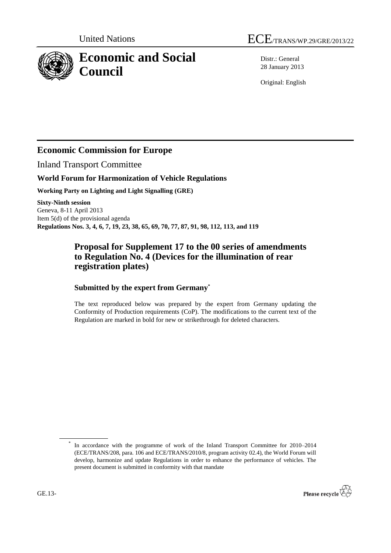

Distr.: General 28 January 2013

Original: English

## **Economic Commission for Europe**

Inland Transport Committee

#### **World Forum for Harmonization of Vehicle Regulations**

**Working Party on Lighting and Light Signalling (GRE)**

**Sixty-Ninth session** Geneva, 8-11 April 2013 Item 5(d) of the provisional agenda **Regulations Nos. 3, 4, 6, 7, 19, 23, 38, 65, 69, 70, 77, 87, 91, 98, 112, 113, and 119**

### **Proposal for Supplement 17 to the 00 series of amendments to Regulation No. 4 (Devices for the illumination of rear registration plates)**

#### **Submitted by the expert from Germany\***

The text reproduced below was prepared by the expert from Germany updating the Conformity of Production requirements (CoP). The modifications to the current text of the Regulation are marked in bold for new or strikethrough for deleted characters.

<sup>\*</sup> In accordance with the programme of work of the Inland Transport Committee for 2010–2014 (ECE/TRANS/208, para. 106 and ECE/TRANS/2010/8, program activity 02.4), the World Forum will develop, harmonize and update Regulations in order to enhance the performance of vehicles. The present document is submitted in conformity with that mandate

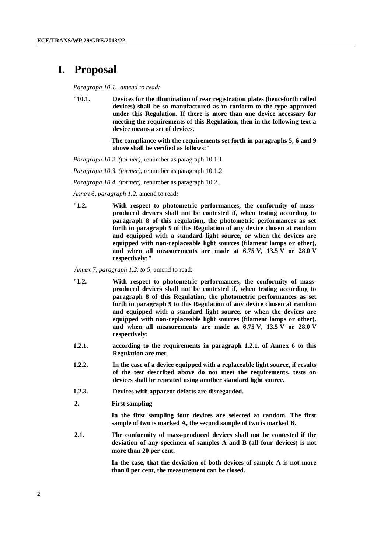# **I. Proposal**

*Paragraph 10.1. amend to read:*

**"10.1. Devices for the illumination of rear registration plates (henceforth called devices) shall be so manufactured as to conform to the type approved under this Regulation. If there is more than one device necessary for meeting the requirements of this Regulation, then in the following text a device means a set of devices.**

> **The compliance with the requirements set forth in paragraphs 5, 6 and 9 above shall be verified as follows:"**

*Paragraph 10.2. (former)*, renumber as paragraph 10.1.1.

*Paragraph 10.3. (former)*, renumber as paragraph 10.1.2.

*Paragraph 10.4. (former)*, renumber as paragraph 10.2.

*Annex 6, paragraph 1.2.* amend to read:

**"1.2. With respect to photometric performances, the conformity of massproduced devices shall not be contested if, when testing according to paragraph 8 of this regulation, the photometric performances as set forth in paragraph 9 of this Regulation of any device chosen at random and equipped with a standard light source, or when the devices are equipped with non-replaceable light sources (filament lamps or other), and when all measurements are made at 6.75 V, 13.5 V or 28.0 V respectively:"**

*Annex 7, paragraph 1.2. to 5*, amend to read:

- **"1.2. With respect to photometric performances, the conformity of massproduced devices shall not be contested if, when testing according to paragraph 8 of this Regulation, the photometric performances as set forth in paragraph 9 to this Regulation of any device chosen at random and equipped with a standard light source, or when the devices are equipped with non-replaceable light sources (filament lamps or other), and when all measurements are made at 6.75 V, 13.5 V or 28.0 V respectively:**
- **1.2.1. according to the requirements in paragraph 1.2.1. of Annex 6 to this Regulation are met.**
- **1.2.2. In the case of a device equipped with a replaceable light source, if results of the test described above do not meet the requirements, tests on devices shall be repeated using another standard light source.**
- **1.2.3. Devices with apparent defects are disregarded.**
- **2. First sampling**

**In the first sampling four devices are selected at random. The first sample of two is marked A, the second sample of two is marked B.**

**2.1. The conformity of mass-produced devices shall not be contested if the deviation of any specimen of samples A and B (all four devices) is not more than 20 per cent.**

> **In the case, that the deviation of both devices of sample A is not more than 0 per cent, the measurement can be closed.**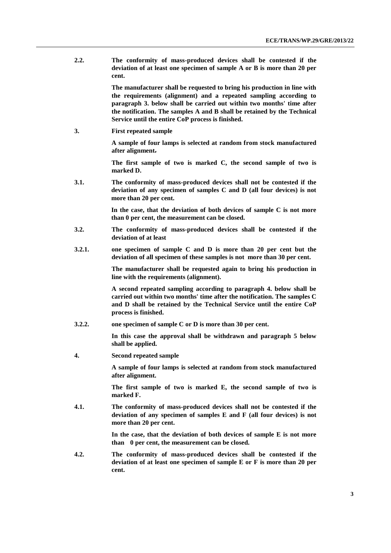**2.2. The conformity of mass-produced devices shall be contested if the deviation of at least one specimen of sample A or B is more than 20 per cent.**

> **The manufacturer shall be requested to bring his production in line with the requirements (alignment) and a repeated sampling according to paragraph 3. below shall be carried out within two months' time after the notification. The samples A and B shall be retained by the Technical Service until the entire CoP process is finished.**

**3. First repeated sample** 

**A sample of four lamps is selected at random from stock manufactured after alignment.**

**The first sample of two is marked C, the second sample of two is marked D.**

**3.1. The conformity of mass-produced devices shall not be contested if the deviation of any specimen of samples C and D (all four devices) is not more than 20 per cent.**

> **In the case, that the deviation of both devices of sample C is not more than 0 per cent, the measurement can be closed.**

- **3.2. The conformity of mass-produced devices shall be contested if the deviation of at least**
- **3.2.1. one specimen of sample C and D is more than 20 per cent but the deviation of all specimen of these samples is not more than 30 per cent.**

**The manufacturer shall be requested again to bring his production in line with the requirements (alignment).**

**A second repeated sampling according to paragraph 4. below shall be carried out within two months' time after the notification. The samples C and D shall be retained by the Technical Service until the entire CoP process is finished.** 

**3.2.2. one specimen of sample C or D is more than 30 per cent.**

**In this case the approval shall be withdrawn and paragraph 5 below shall be applied.**

**4. Second repeated sample**

**A sample of four lamps is selected at random from stock manufactured after alignment.** 

**The first sample of two is marked E, the second sample of two is marked F.**

**4.1. The conformity of mass-produced devices shall not be contested if the deviation of any specimen of samples E and F (all four devices) is not more than 20 per cent.**

> **In the case, that the deviation of both devices of sample E is not more than 0 per cent, the measurement can be closed.**

**4.2. The conformity of mass-produced devices shall be contested if the deviation of at least one specimen of sample E or F is more than 20 per cent.**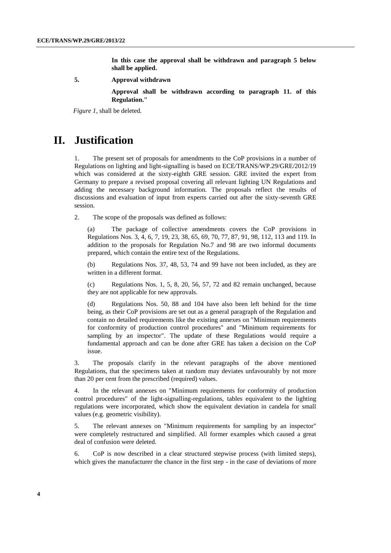**In this case the approval shall be withdrawn and paragraph 5 below shall be applied.**

**5. Approval withdrawn**

**Approval shall be withdrawn according to paragraph 11. of this Regulation."**

*Figure 1,* shall be deleted*.*

## **II. Justification**

1. The present set of proposals for amendments to the CoP provisions in a number of Regulations on lighting and light-signalling is based on ECE/TRANS/WP.29/GRE/2012/19 which was considered at the sixty-eighth GRE session. GRE invited the expert from Germany to prepare a revised proposal covering all relevant lighting UN Regulations and adding the necessary background information. The proposals reflect the results of discussions and evaluation of input from experts carried out after the sixty-seventh GRE session.

2. The scope of the proposals was defined as follows:

(a) The package of collective amendments covers the CoP provisions in Regulations Nos. 3, 4, 6, 7, 19, 23, 38, 65, 69, 70, 77, 87, 91, 98, 112, 113 and 119. In addition to the proposals for Regulation No.7 and 98 are two informal documents prepared, which contain the entire text of the Regulations.

(b) Regulations Nos. 37, 48, 53, 74 and 99 have not been included, as they are written in a different format.

(c) Regulations Nos. 1, 5, 8, 20, 56, 57, 72 and 82 remain unchanged, because they are not applicable for new approvals.

(d) Regulations Nos. 50, 88 and 104 have also been left behind for the time being, as their CoP provisions are set out as a general paragraph of the Regulation and contain no detailed requirements like the existing annexes on "Minimum requirements for conformity of production control procedures" and "Minimum requirements for sampling by an inspector". The update of these Regulations would require a fundamental approach and can be done after GRE has taken a decision on the CoP issue.

3. The proposals clarify in the relevant paragraphs of the above mentioned Regulations, that the specimens taken at random may deviates unfavourably by not more than 20 per cent from the prescribed (required) values.

4. In the relevant annexes on "Minimum requirements for conformity of production control procedures" of the light-signalling-regulations, tables equivalent to the lighting regulations were incorporated, which show the equivalent deviation in candela for small values (e.g. geometric visibility).

5. The relevant annexes on "Minimum requirements for sampling by an inspector" were completely restructured and simplified. All former examples which caused a great deal of confusion were deleted.

6. CoP is now described in a clear structured stepwise process (with limited steps), which gives the manufacturer the chance in the first step - in the case of deviations of more